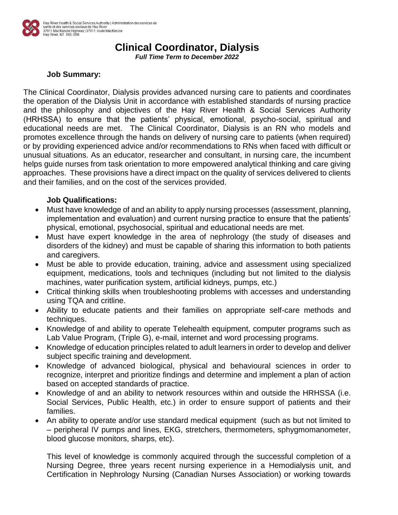

## **Clinical Coordinator, Dialysis**

*Full Time Term to December 2022*

## **Job Summary:**

The Clinical Coordinator, Dialysis provides advanced nursing care to patients and coordinates the operation of the Dialysis Unit in accordance with established standards of nursing practice and the philosophy and objectives of the Hay River Health & Social Services Authority (HRHSSA) to ensure that the patients' physical, emotional, psycho-social, spiritual and educational needs are met. The Clinical Coordinator, Dialysis is an RN who models and promotes excellence through the hands on delivery of nursing care to patients (when required) or by providing experienced advice and/or recommendations to RNs when faced with difficult or unusual situations. As an educator, researcher and consultant, in nursing care, the incumbent helps guide nurses from task orientation to more empowered analytical thinking and care giving approaches. These provisions have a direct impact on the quality of services delivered to clients and their families, and on the cost of the services provided.

## **Job Qualifications:**

- Must have knowledge of and an ability to apply nursing processes (assessment, planning, implementation and evaluation) and current nursing practice to ensure that the patients' physical, emotional, psychosocial, spiritual and educational needs are met.
- Must have expert knowledge in the area of nephrology (the study of diseases and disorders of the kidney) and must be capable of sharing this information to both patients and caregivers.
- Must be able to provide education, training, advice and assessment using specialized equipment, medications, tools and techniques (including but not limited to the dialysis machines, water purification system, artificial kidneys, pumps, etc.)
- Critical thinking skills when troubleshooting problems with accesses and understanding using TQA and critline.
- Ability to educate patients and their families on appropriate self-care methods and techniques.
- Knowledge of and ability to operate Telehealth equipment, computer programs such as Lab Value Program, (Triple G), e-mail, internet and word processing programs.
- Knowledge of education principles related to adult learners in order to develop and deliver subject specific training and development.
- Knowledge of advanced biological, physical and behavioural sciences in order to recognize, interpret and prioritize findings and determine and implement a plan of action based on accepted standards of practice.
- Knowledge of and an ability to network resources within and outside the HRHSSA (i.e. Social Services, Public Health, etc.) in order to ensure support of patients and their families.
- An ability to operate and/or use standard medical equipment (such as but not limited to – peripheral IV pumps and lines, EKG, stretchers, thermometers, sphygmomanometer, blood glucose monitors, sharps, etc).

This level of knowledge is commonly acquired through the successful completion of a Nursing Degree, three years recent nursing experience in a Hemodialysis unit, and Certification in Nephrology Nursing (Canadian Nurses Association) or working towards